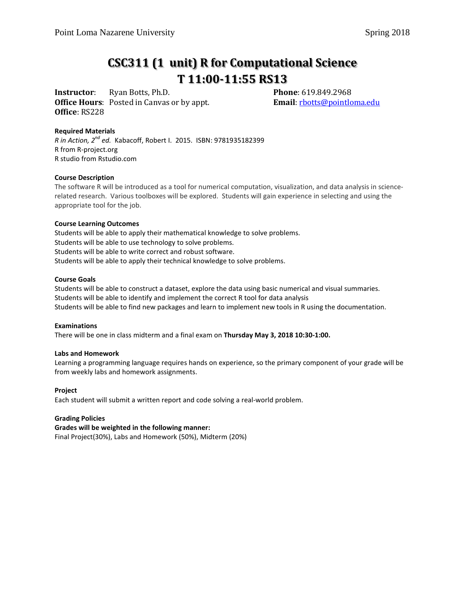# **CSC311 (1 unit) R for Computational Science T 11:00-11:55 RS13**

**Instructor**: Ryan Botts, Ph.D. **Phone**: 619.849.2968<br> **Office Hours**: Posted in Canvas or by appt. **Email**: <u>rbotts@pointloma.edu</u> **Office Hours**: Posted in Canvas or by appt. **Office**: RS228

## **Required Materials**

*R in Action, 2nd ed.* Kabacoff, Robert I. 2015. ISBN: 9781935182399 R from R-project.org R studio from Rstudio.com

## **Course Description**

The software R will be introduced as a tool for numerical computation, visualization, and data analysis in sciencerelated research. Various toolboxes will be explored. Students will gain experience in selecting and using the appropriate tool for the job.

#### **Course Learning Outcomes**

Students will be able to apply their mathematical knowledge to solve problems. Students will be able to use technology to solve problems. Students will be able to write correct and robust software. Students will be able to apply their technical knowledge to solve problems.

#### **Course Goals**

Students will be able to construct a dataset, explore the data using basic numerical and visual summaries. Students will be able to identify and implement the correct R tool for data analysis Students will be able to find new packages and learn to implement new tools in R using the documentation.

#### **Examinations**

There will be one in class midterm and a final exam on **Thursday May 3, 2018 10:30-1:00.**

## **Labs and Homework**

Learning a programming language requires hands on experience, so the primary component of your grade will be from weekly labs and homework assignments.

## **Project**

Each student will submit a written report and code solving a real-world problem.

## **Grading Policies**

## **Grades will be weighted in the following manner:**

Final Project(30%), Labs and Homework (50%), Midterm (20%)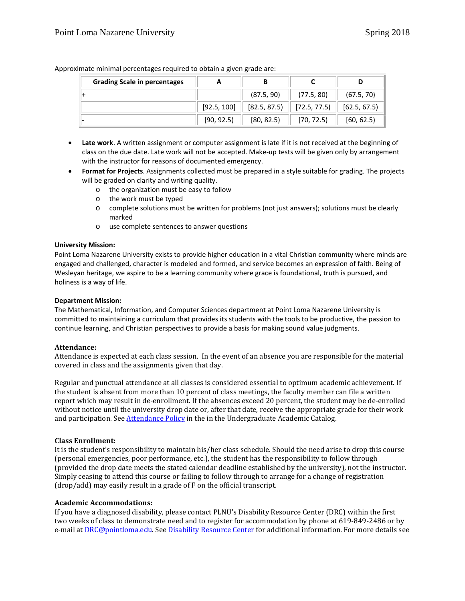| <b>Grading Scale in percentages</b> |             | В            |              |              |
|-------------------------------------|-------------|--------------|--------------|--------------|
|                                     |             | (87.5, 90)   | (77.5, 80)   | (67.5, 70)   |
|                                     | [92.5, 100] | [82.5, 87.5] | [72.5, 77.5] | [62.5, 67.5] |
|                                     | [90, 92.5]  | [80, 82.5]   | [70, 72.5]   | [60, 62.5]   |

Approximate minimal percentages required to obtain a given grade are:

- **Late work**. A written assignment or computer assignment is late if it is not received at the beginning of class on the due date. Late work will not be accepted. Make-up tests will be given only by arrangement with the instructor for reasons of documented emergency.
- **Format for Projects**. Assignments collected must be prepared in a style suitable for grading. The projects will be graded on clarity and writing quality.
	- o the organization must be easy to follow
	- o the work must be typed
	- o complete solutions must be written for problems (not just answers); solutions must be clearly marked
	- o use complete sentences to answer questions

#### **University Mission:**

Point Loma Nazarene University exists to provide higher education in a vital Christian community where minds are engaged and challenged, character is modeled and formed, and service becomes an expression of faith. Being of Wesleyan heritage, we aspire to be a learning community where grace is foundational, truth is pursued, and holiness is a way of life.

#### **Department Mission:**

The Mathematical, Information, and Computer Sciences department at Point Loma Nazarene University is committed to maintaining a curriculum that provides its students with the tools to be productive, the passion to continue learning, and Christian perspectives to provide a basis for making sound value judgments.

#### **Attendance:**

Attendance is expected at each class session. In the event of an absence you are responsible for the material covered in class and the assignments given that day.

Regular and punctual attendance at all classes is considered essential to optimum academic achievement. If the student is absent from more than 10 percent of class meetings, the faculty member can file a written report which may result in de-enrollment. If the absences exceed 20 percent, the student may be de-enrolled without notice until the university drop date or, after that date, receive the appropriate grade for their work and participation. See [Attendance Policy](https://catalog.pointloma.edu/content.php?catoid=28&navoid=1761#Class_Attendance) in the in the Undergraduate Academic Catalog.

## **Class Enrollment:**

It is the student's responsibility to maintain his/her class schedule. Should the need arise to drop this course (personal emergencies, poor performance, etc.), the student has the responsibility to follow through (provided the drop date meets the stated calendar deadline established by the university), not the instructor. Simply ceasing to attend this course or failing to follow through to arrange for a change of registration (drop/add) may easily result in a grade of F on the official transcript.

## **Academic Accommodations:**

If you have a diagnosed disability, please contact PLNU's Disability Resource Center (DRC) within the first two weeks of class to demonstrate need and to register for accommodation by phone at 619-849-2486 or by e-mail a[t DRC@pointloma.edu.](mailto:DRC@pointloma.edu) See [Disability Resource Center](http://www.pointloma.edu/experience/offices/administrative-offices/academic-advising-office/disability-resource-center) for additional information. For more details see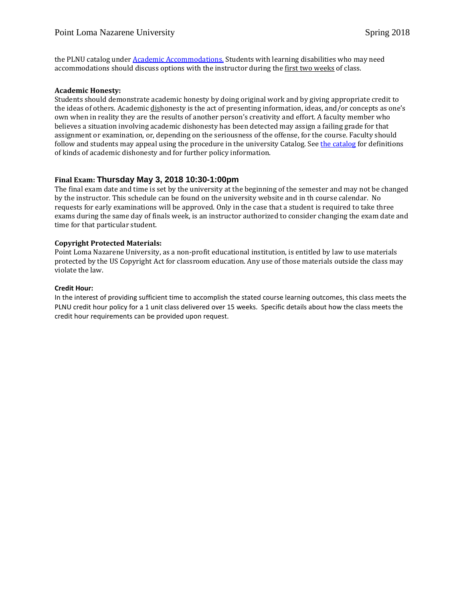the PLNU catalog under [Academic Accommodations.](https://catalog.pointloma.edu/content.php?catoid=28&navoid=1761#Academic_Accommodations) Students with learning disabilities who may need accommodations should discuss options with the instructor during the first two weeks of class.

#### **Academic Honesty:**

Students should demonstrate academic honesty by doing original work and by giving appropriate credit to the ideas of others. Academic dishonesty is the act of presenting information, ideas, and/or concepts as one's own when in reality they are the results of another person's creativity and effort. A faculty member who believes a situation involving academic dishonesty has been detected may assign a failing grade for that assignment or examination, or, depending on the seriousness of the offense, for the course. Faculty should follow and students may appeal using the procedure in the university Catalog. Se[e the catalog](https://catalog.pointloma.edu/content.php?catoid=28&navoid=1761#Academic_Honesty) for definitions of kinds of academic dishonesty and for further policy information.

## **Final Exam: Thursday May 3, 2018 10:30-1:00pm**

The final exam date and time is set by the university at the beginning of the semester and may not be changed by the instructor. This schedule can be found on the university website and in th course calendar. No requests for early examinations will be approved. Only in the case that a student is required to take three exams during the same day of finals week, is an instructor authorized to consider changing the exam date and time for that particular student.

## **Copyright Protected Materials:**

Point Loma Nazarene University, as a non-profit educational institution, is entitled by law to use materials protected by the US Copyright Act for classroom education. Any use of those materials outside the class may violate the law.

#### **Credit Hour:**

In the interest of providing sufficient time to accomplish the stated course learning outcomes, this class meets the PLNU credit hour policy for a 1 unit class delivered over 15 weeks. Specific details about how the class meets the credit hour requirements can be provided upon request.